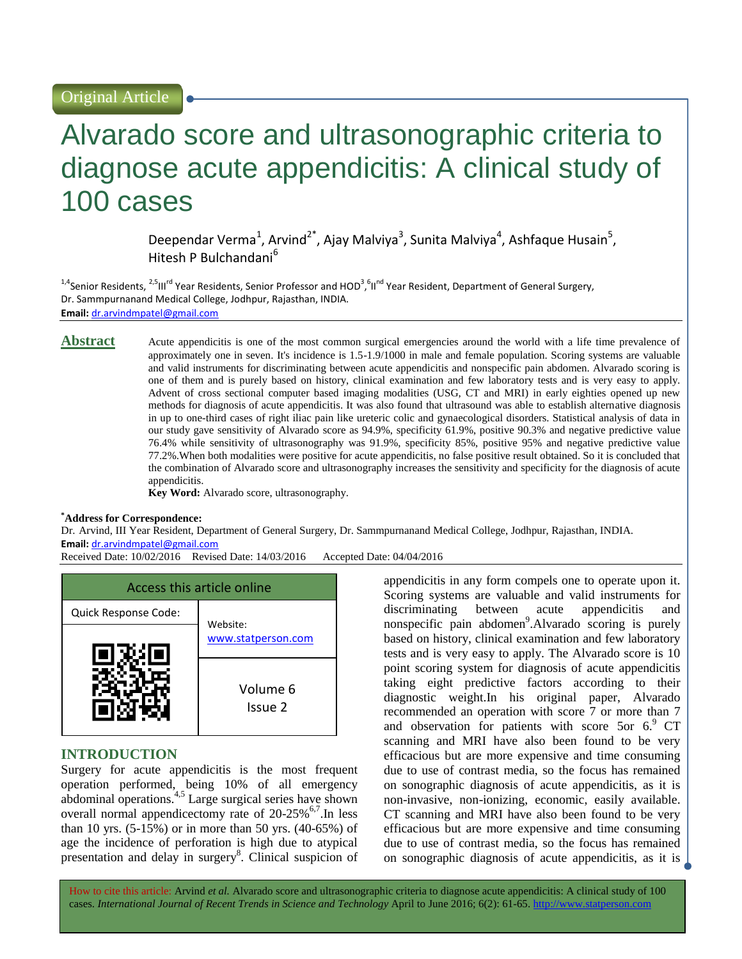# Alvarado score and ultrasonographic criteria to diagnose acute appendicitis: A clinical study of 100 cases

Deependar Verma<sup>1</sup>, Arvind<sup>2\*</sup>, Ajay Malviya<sup>3</sup>, Sunita Malviya<sup>4</sup>, Ashfaque Husain<sup>5</sup>, Hitesh P Bulchandani<sup>6</sup>

<sup>1,4</sup>Senior Residents, <sup>2,5</sup>III<sup>rd</sup> Year Residents, Senior Professor and HOD<sup>3</sup>,<sup>6</sup>II<sup>nd</sup> Year Resident, Department of General Surgery, Dr. Sammpurnanand Medical College, Jodhpur, Rajasthan, INDIA. **Email:** [dr.arvindmpatel@gmail.com](mailto:dr.arvindmpatel@gmail.com)

**Abstract** Acute appendicitis is one of the most common surgical emergencies around the world with a life time prevalence of approximately one in seven. It's incidence is 1.5-1.9/1000 in male and female population. Scoring systems are valuable and valid instruments for discriminating between acute appendicitis and nonspecific pain abdomen. Alvarado scoring is one of them and is purely based on history, clinical examination and few laboratory tests and is very easy to apply. Advent of cross sectional computer based imaging modalities (USG, CT and MRI) in early eighties opened up new methods for diagnosis of acute appendicitis. It was also found that ultrasound was able to establish alternative diagnosis in up to one-third cases of right iliac pain like ureteric colic and gynaecological disorders. Statistical analysis of data in our study gave sensitivity of Alvarado score as 94.9%, specificity 61.9%, positive 90.3% and negative predictive value 76.4% while sensitivity of ultrasonography was 91.9%, specificity 85%, positive 95% and negative predictive value 77.2%.When both modalities were positive for acute appendicitis, no false positive result obtained. So it is concluded that the combination of Alvarado score and ultrasonography increases the sensitivity and specificity for the diagnosis of acute appendicitis.

**Key Word:** Alvarado score, ultrasonography.

#### **\*Address for Correspondence:**

Dr. Arvind, III Year Resident, Department of General Surgery, Dr. Sammpurnanand Medical College, Jodhpur, Rajasthan, INDIA. **Email:** [dr.arvindmpatel@gmail.com](mailto:dr.arvindmpatel@gmail.com)

Received Date: 10/02/2016 Revised Date: 14/03/2016 Accepted Date: 04/04/2016



## **INTRODUCTION**

Surgery for acute appendicitis is the most frequent operation performed, being 10% of all emergency abdominal operations. 4,5 Large surgical series have shown overall normal appendicectomy rate of 20-25%<sup>6,7</sup>. In less than 10 yrs.  $(5-15\%)$  or in more than 50 yrs.  $(40-65\%)$  of age the incidence of perforation is high due to atypical presentation and delay in surgery<sup>8</sup>. Clinical suspicion of

appendicitis in any form compels one to operate upon it. Scoring systems are valuable and valid instruments for discriminating between acute appendicitis and nonspecific pain abdomen<sup>9</sup>. Alvarado scoring is purely based on history, clinical examination and few laboratory tests and is very easy to apply. The Alvarado score is 10 point scoring system for diagnosis of acute appendicitis taking eight predictive factors according to their diagnostic weight.In his original paper, Alvarado recommended an operation with score 7 or more than 7 and observation for patients with score 5or  $6.9$  CT scanning and MRI have also been found to be very efficacious but are more expensive and time consuming due to use of contrast media, so the focus has remained on sonographic diagnosis of acute appendicitis, as it is non-invasive, non-ionizing, economic, easily available. CT scanning and MRI have also been found to be very efficacious but are more expensive and time consuming due to use of contrast media, so the focus has remained on sonographic diagnosis of acute appendicitis, as it is  $\Box$ 

How to cite this article: Arvind *et al.* Alvarado score and ultrasonographic criteria to diagnose acute appendicitis: A clinical study of 100 cases. *International Journal of Recent Trends in Science and Technology* April to June 2016; 6(2): 61-65. http://www.statperson.com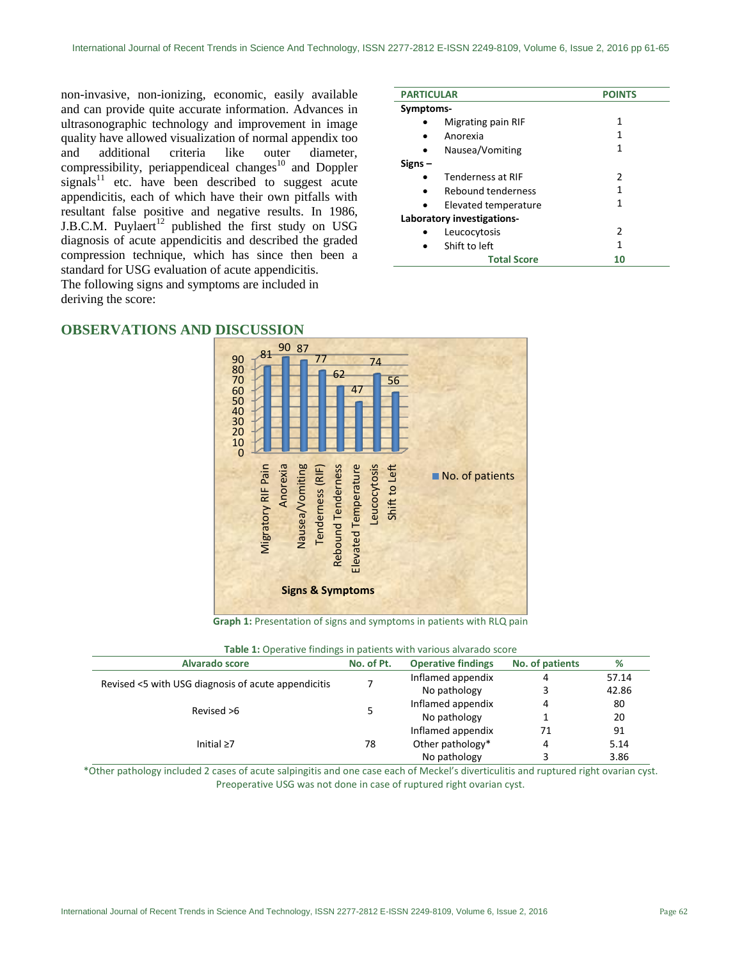non-invasive, non-ionizing, economic, easily available and can provide quite accurate information. Advances in ultrasonographic technology and improvement in image quality have allowed visualization of normal appendix too and additional criteria like outer diameter, compressibility, periappendiceal changes<sup>10</sup> and Doppler signals<sup>11</sup> etc. have been described to suggest acute appendicitis, each of which have their own pitfalls with resultant false positive and negative results. In 1986, J.B.C.M. Puylaert $12$  published the first study on USG diagnosis of acute appendicitis and described the graded compression technique, which has since then been a standard for USG evaluation of acute appendicitis.

The following signs and symptoms are included in deriving the score:

| <b>PARTICULAR</b>          | <b>POINTS</b> |  |  |  |
|----------------------------|---------------|--|--|--|
| Symptoms-                  |               |  |  |  |
| Migrating pain RIF         | 1             |  |  |  |
| Anorexia                   | 1             |  |  |  |
| Nausea/Vomiting            | 1             |  |  |  |
| Signs –                    |               |  |  |  |
| Tenderness at RIF          | $\mathcal{P}$ |  |  |  |
| Rebound tenderness         | 1             |  |  |  |
| Elevated temperature       | 1             |  |  |  |
| Laboratory investigations- |               |  |  |  |
| Leucocytosis               | 2             |  |  |  |
| Shift to left              | 1             |  |  |  |
| <b>Total Score</b>         | 10            |  |  |  |

# **OBSERVATIONS AND DISCUSSION**



**Graph 1:** Presentation of signs and symptoms in patients with RLQ pain

| Alvarado score                                      | No. of Pt. | <b>Operative findings</b> | No. of patients | %     |
|-----------------------------------------------------|------------|---------------------------|-----------------|-------|
| Revised <5 with USG diagnosis of acute appendicitis |            | Inflamed appendix         | 4               | 57.14 |
|                                                     |            | No pathology              |                 | 42.86 |
| Revised >6                                          |            | Inflamed appendix         | 4               | 80    |
|                                                     |            | No pathology              |                 | 20    |
| Initial $\geq 7$                                    |            | Inflamed appendix         | 71              | 91    |
|                                                     | 78         | Other pathology*          | 4               | 5.14  |
|                                                     |            | No pathology              |                 | 3.86  |

**Table 1:** Operative findings in patients with various alvarado score

\*Other pathology included 2 cases of acute salpingitis and one case each of Meckel's diverticulitis and ruptured right ovarian cyst. Preoperative USG was not done in case of ruptured right ovarian cyst.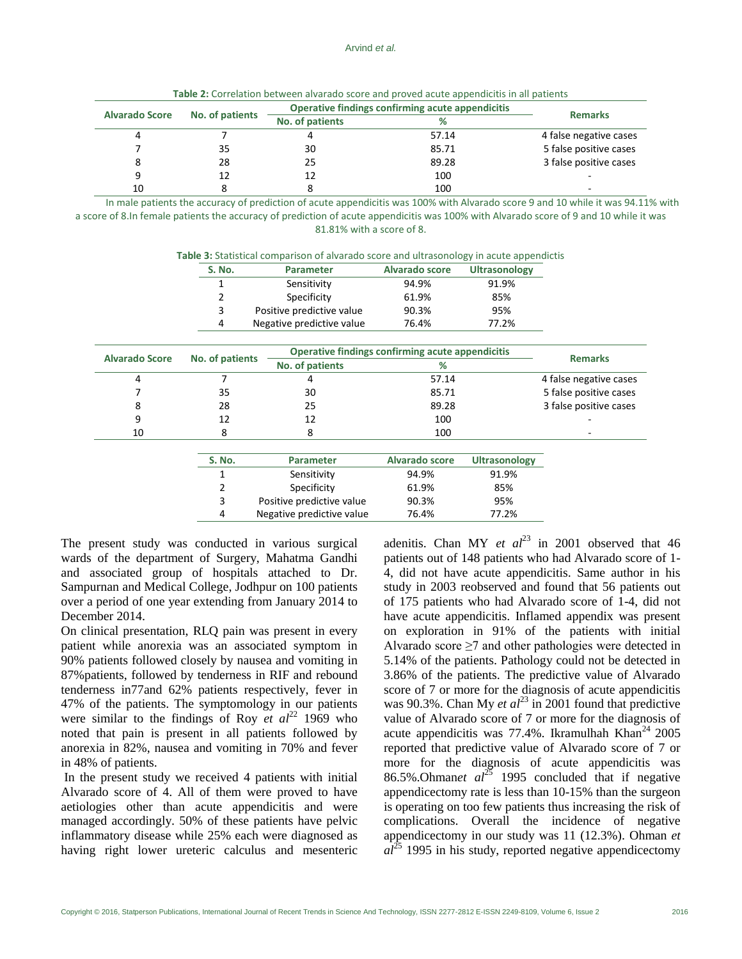|  | Table 2: Correlation between alvarado score and proved acute appendicitis in all patients |
|--|-------------------------------------------------------------------------------------------|
|--|-------------------------------------------------------------------------------------------|

| No. of patients<br><b>Alvarado Score</b> |    | Operative findings confirming acute appendicitis |       |                        |
|------------------------------------------|----|--------------------------------------------------|-------|------------------------|
|                                          |    | No. of patients                                  | %     | <b>Remarks</b>         |
|                                          |    |                                                  | 57.14 | 4 false negative cases |
|                                          | 35 | 30                                               | 85.71 | 5 false positive cases |
|                                          | 28 | 25                                               | 89.28 | 3 false positive cases |
|                                          |    | 12                                               | 100   | ٠                      |
| 10                                       |    |                                                  | 100   |                        |

In male patients the accuracy of prediction of acute appendicitis was 100% with Alvarado score 9 and 10 while it was 94.11% with a score of 8.In female patients the accuracy of prediction of acute appendicitis was 100% with Alvarado score of 9 and 10 while it was 81.81% with a score of 8.

**Table 3:** Statistical comparison of alvarado score and ultrasonology in acute appendictis

| S. No. | <b>Parameter</b>          | <b>Alvarado score</b> | <b>Ultrasonology</b> |
|--------|---------------------------|-----------------------|----------------------|
|        | Sensitivity               | 94.9%                 | 91.9%                |
| 2      | Specificity               | 61.9%                 | 85%                  |
| 3      | Positive predictive value | 90.3%                 | 95%                  |
| 4      | Negative predictive value | 76.4%                 | 77.2%                |

| No. of patients<br><b>Alvarado Score</b> |                 | Operative findings confirming acute appendicitis |                |                        |
|------------------------------------------|-----------------|--------------------------------------------------|----------------|------------------------|
|                                          | No. of patients | ℅                                                | <b>Remarks</b> |                        |
|                                          |                 |                                                  | 57.14          | 4 false negative cases |
|                                          | 35              | 30                                               | 85.71          | 5 false positive cases |
|                                          | 28              | 25                                               | 89.28          | 3 false positive cases |
|                                          | 12              | 12                                               | 100            |                        |
| 10                                       |                 |                                                  | 100            |                        |
|                                          |                 |                                                  |                |                        |

| S. No. | <b>Parameter</b>          | <b>Alvarado score</b> | <b>Ultrasonology</b> |
|--------|---------------------------|-----------------------|----------------------|
|        | Sensitivity               | 94.9%                 | 91.9%                |
| 2      | Specificity               | 61.9%                 | 85%                  |
| 3      | Positive predictive value | 90.3%                 | 95%                  |
| 4      | Negative predictive value | 76.4%                 | 77.2%                |

The present study was conducted in various surgical wards of the department of Surgery, Mahatma Gandhi and associated group of hospitals attached to Dr. Sampurnan and Medical College, Jodhpur on 100 patients over a period of one year extending from January 2014 to December 2014.

On clinical presentation, RLQ pain was present in every patient while anorexia was an associated symptom in 90% patients followed closely by nausea and vomiting in 87%patients, followed by tenderness in RIF and rebound tenderness in77and 62% patients respectively, fever in 47% of the patients. The symptomology in our patients were similar to the findings of Roy *et al*<sup>22</sup> 1969 who noted that pain is present in all patients followed by anorexia in 82%, nausea and vomiting in 70% and fever in 48% of patients.

In the present study we received 4 patients with initial Alvarado score of 4. All of them were proved to have aetiologies other than acute appendicitis and were managed accordingly. 50% of these patients have pelvic inflammatory disease while 25% each were diagnosed as having right lower ureteric calculus and mesenteric adenitis. Chan MY *et al*<sup>23</sup> in 2001 observed that 46 patients out of 148 patients who had Alvarado score of 1- 4, did not have acute appendicitis. Same author in his study in 2003 reobserved and found that 56 patients out of 175 patients who had Alvarado score of 1-4, did not have acute appendicitis. Inflamed appendix was present on exploration in 91% of the patients with initial Alvarado score  $\geq 7$  and other pathologies were detected in 5.14% of the patients. Pathology could not be detected in 3.86% of the patients. The predictive value of Alvarado score of 7 or more for the diagnosis of acute appendicitis was 90.3%. Chan My *et al*<sup>23</sup> in 2001 found that predictive value of Alvarado score of 7 or more for the diagnosis of acute appendicitis was  $77.4\%$ . Ikramulhah Khan<sup>24</sup> 2005 reported that predictive value of Alvarado score of 7 or more for the diagnosis of acute appendicitis was 86.5%.Ohman*et al*<sup>25</sup> 1995 concluded that if negative appendicectomy rate is less than 10-15% than the surgeon is operating on too few patients thus increasing the risk of complications. Overall the incidence of negative appendicectomy in our study was 11 (12.3%). Ohman *et*   $al^{25}$  1995 in his study, reported negative appendicectomy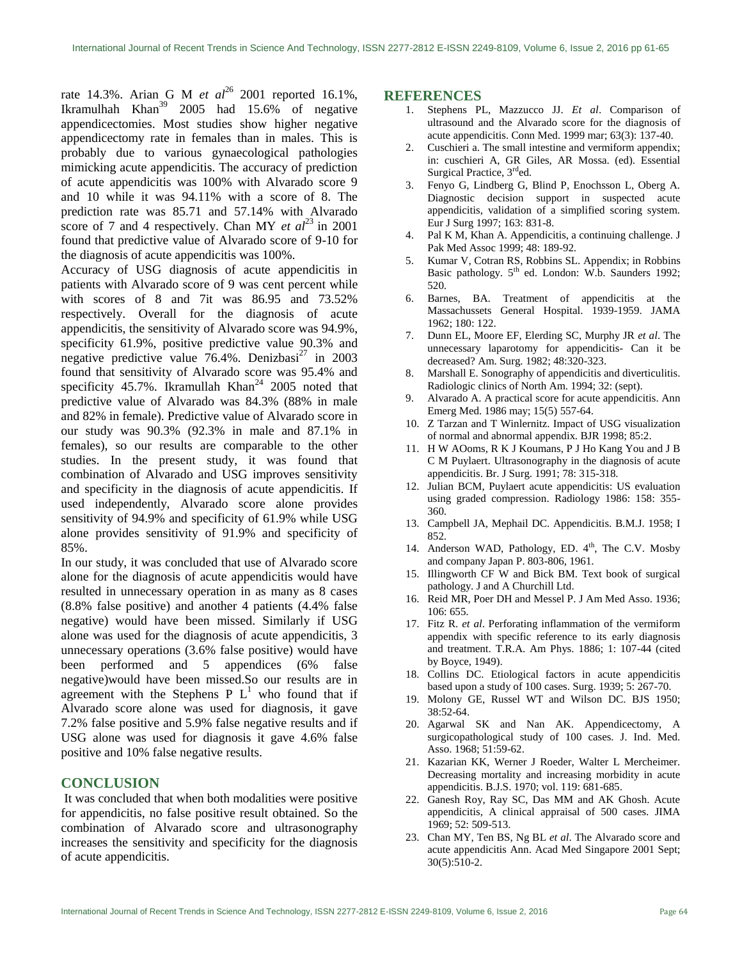rate 14.3%. Arian G M *et al*<sup>26</sup> 2001 reported 16.1%, Ikramulhah Khan<sup>39</sup> 2005 had  $15.6\%$  of negative appendicectomies. Most studies show higher negative appendicectomy rate in females than in males. This is probably due to various gynaecological pathologies mimicking acute appendicitis. The accuracy of prediction of acute appendicitis was 100% with Alvarado score 9 and 10 while it was 94.11% with a score of 8. The prediction rate was 85.71 and 57.14% with Alvarado score of 7 and 4 respectively. Chan MY *et al*<sup>23</sup> in 2001 found that predictive value of Alvarado score of 9-10 for the diagnosis of acute appendicitis was 100%.

Accuracy of USG diagnosis of acute appendicitis in patients with Alvarado score of 9 was cent percent while with scores of 8 and 7it was 86.95 and 73.52% respectively. Overall for the diagnosis of acute appendicitis, the sensitivity of Alvarado score was 94.9%, specificity 61.9%, positive predictive value 90.3% and negative predictive value  $76.4\%$ . Denizbasi<sup>27</sup> in 2003 found that sensitivity of Alvarado score was 95.4% and specificity 45.7%. Ikramullah Khan $^{24}$  2005 noted that predictive value of Alvarado was 84.3% (88% in male and 82% in female). Predictive value of Alvarado score in our study was 90.3% (92.3% in male and 87.1% in females), so our results are comparable to the other studies. In the present study, it was found that combination of Alvarado and USG improves sensitivity and specificity in the diagnosis of acute appendicitis. If used independently, Alvarado score alone provides sensitivity of 94.9% and specificity of 61.9% while USG alone provides sensitivity of 91.9% and specificity of 85%.

In our study, it was concluded that use of Alvarado score alone for the diagnosis of acute appendicitis would have resulted in unnecessary operation in as many as 8 cases (8.8% false positive) and another 4 patients (4.4% false negative) would have been missed. Similarly if USG alone was used for the diagnosis of acute appendicitis, 3 unnecessary operations (3.6% false positive) would have been performed and 5 appendices (6% false negative)would have been missed.So our results are in agreement with the Stephens P  $L^1$  who found that if Alvarado score alone was used for diagnosis, it gave 7.2% false positive and 5.9% false negative results and if USG alone was used for diagnosis it gave 4.6% false positive and 10% false negative results.

### **CONCLUSION**

It was concluded that when both modalities were positive for appendicitis, no false positive result obtained. So the combination of Alvarado score and ultrasonography increases the sensitivity and specificity for the diagnosis of acute appendicitis.

#### **REFERENCES**

- 1. Stephens PL, Mazzucco JJ. *Et al*. Comparison of ultrasound and the Alvarado score for the diagnosis of acute appendicitis. Conn Med. 1999 mar; 63(3): 137-40.
- 2. Cuschieri a. The small intestine and vermiform appendix; in: cuschieri A, GR Giles, AR Mossa. (ed). Essential Surgical Practice, 3<sup>rd</sup>ed.
- 3. Fenyo G, Lindberg G, Blind P, Enochsson L, Oberg A. Diagnostic decision support in suspected acute appendicitis, validation of a simplified scoring system. Eur J Surg 1997; 163: 831-8.
- 4. Pal K M, Khan A. Appendicitis, a continuing challenge. J Pak Med Assoc 1999; 48: 189-92.
- 5. Kumar V, Cotran RS, Robbins SL. Appendix; in Robbins Basic pathology. 5<sup>th</sup> ed. London: W.b. Saunders 1992; 520.
- 6. Barnes, BA. Treatment of appendicitis at the Massachussets General Hospital. 1939-1959. JAMA 1962; 180: 122.
- 7. Dunn EL, Moore EF, Elerding SC, Murphy JR *et al*. The unnecessary laparotomy for appendicitis- Can it be decreased? Am. Surg. 1982; 48:320-323.
- 8. Marshall E. Sonography of appendicitis and diverticulitis. Radiologic clinics of North Am. 1994; 32: (sept).
- 9. Alvarado A. A practical score for acute appendicitis. Ann Emerg Med. 1986 may; 15(5) 557-64.
- 10. Z Tarzan and T Winlernitz. Impact of USG visualization of normal and abnormal appendix. BJR 1998; 85:2.
- 11. H W AOoms, R K J Koumans, P J Ho Kang You and J B C M Puylaert. Ultrasonography in the diagnosis of acute appendicitis. Br. J Surg. 1991; 78: 315-318.
- 12. Julian BCM, Puylaert acute appendicitis: US evaluation using graded compression. Radiology 1986: 158: 355- 360.
- 13. Campbell JA, Mephail DC. Appendicitis. B.M.J. 1958; I 852.
- 14. Anderson WAD, Pathology, ED. 4<sup>th</sup>, The C.V. Mosby and company Japan P. 803-806, 1961.
- 15. Illingworth CF W and Bick BM. Text book of surgical pathology. J and A Churchill Ltd.
- 16. Reid MR, Poer DH and Messel P. J Am Med Asso. 1936; 106: 655.
- 17. Fitz R. *et al*. Perforating inflammation of the vermiform appendix with specific reference to its early diagnosis and treatment. T.R.A. Am Phys. 1886; 1: 107-44 (cited by Boyce, 1949).
- 18. Collins DC. Etiological factors in acute appendicitis based upon a study of 100 cases. Surg. 1939; 5: 267-70.
- 19. Molony GE, Russel WT and Wilson DC. BJS 1950; 38:52-64.
- 20. Agarwal SK and Nan AK. Appendicectomy, A surgicopathological study of 100 cases. J. Ind. Med. Asso. 1968; 51:59-62.
- 21. Kazarian KK, Werner J Roeder, Walter L Mercheimer. Decreasing mortality and increasing morbidity in acute appendicitis. B.J.S. 1970; vol. 119: 681-685.
- 22. Ganesh Roy, Ray SC, Das MM and AK Ghosh. Acute appendicitis, A clinical appraisal of 500 cases. JIMA 1969; 52: 509-513.
- 23. Chan MY, Ten BS, Ng BL *et al*. The Alvarado score and acute appendicitis Ann. Acad Med Singapore 2001 Sept; 30(5):510-2.